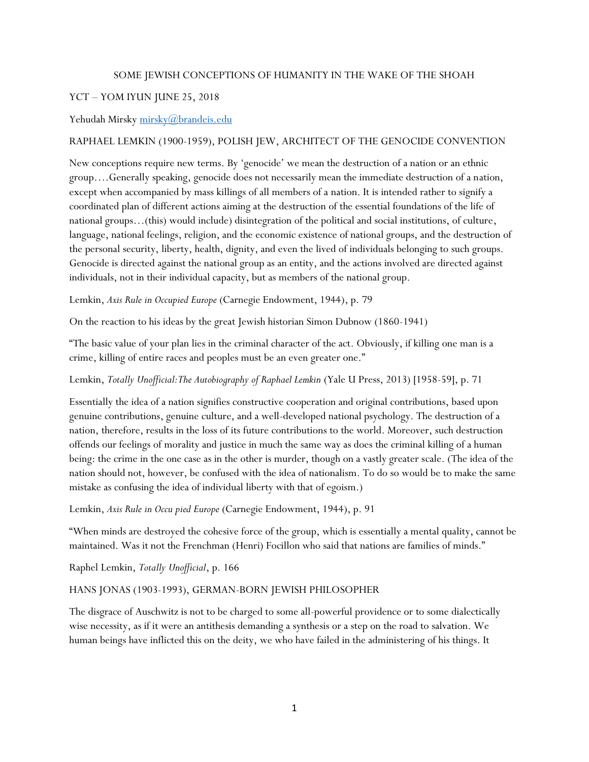#### SOME JEWISH CONCEPTIONS OF HUMANITY IN THE WAKE OF THE SHOAH

## YCT – YOM IYUN JUNE 25, 2018

### Yehudah Mirsky [mirsky@brandeis.edu](mailto:mirsky@brandeis.edu)

### RAPHAEL LEMKIN (1900-1959), POLISH JEW, ARCHITECT OF THE GENOCIDE CONVENTION

New conceptions require new terms. By 'genocide' we mean the destruction of a nation or an ethnic group….Generally speaking, genocide does not necessarily mean the immediate destruction of a nation, except when accompanied by mass killings of all members of a nation. It is intended rather to signify a coordinated plan of different actions aiming at the destruction of the essential foundations of the life of national groups…(this) would include) disintegration of the political and social institutions, of culture, language, national feelings, religion, and the economic existence of national groups, and the destruction of the personal security, liberty, health, dignity, and even the lived of individuals belonging to such groups. Genocide is directed against the national group as an entity, and the actions involved are directed against individuals, not in their individual capacity, but as members of the national group.

Lemkin, *Axis Rule in Occupied Europe* (Carnegie Endowment, 1944), p. 79

On the reaction to his ideas by the great Jewish historian Simon Dubnow (1860-1941)

"The basic value of your plan lies in the criminal character of the act. Obviously, if killing one man is a crime, killing of entire races and peoples must be an even greater one."

#### Lemkin, *Totally Unofficial:The Autobiography of Raphael Lemkin* (Yale U Press, 2013) [1958-59], p. 71

Essentially the idea of a nation signifies constructive cooperation and original contributions, based upon genuine contributions, genuine culture, and a well-developed national psychology. The destruction of a nation, therefore, results in the loss of its future contributions to the world. Moreover, such destruction offends our feelings of morality and justice in much the same way as does the criminal killing of a human being: the crime in the one case as in the other is murder, though on a vastly greater scale. (The idea of the nation should not, however, be confused with the idea of nationalism. To do so would be to make the same mistake as confusing the idea of individual liberty with that of egoism.)

Lemkin, *Axis Rule in Occu pied Europe* (Carnegie Endowment, 1944), p. 91

"When minds are destroyed the cohesive force of the group, which is essentially a mental quality, cannot be maintained. Was it not the Frenchman (Henri) Focillon who said that nations are families of minds."

Raphel Lemkin, *Totally Unofficial*, p. 166

#### HANS JONAS (1903-1993), GERMAN-BORN JEWISH PHILOSOPHER

The disgrace of Auschwitz is not to be charged to some all-powerful providence or to some dialectically wise necessity, as if it were an antithesis demanding a synthesis or a step on the road to salvation. We human beings have inflicted this on the deity, we who have failed in the administering of his things. It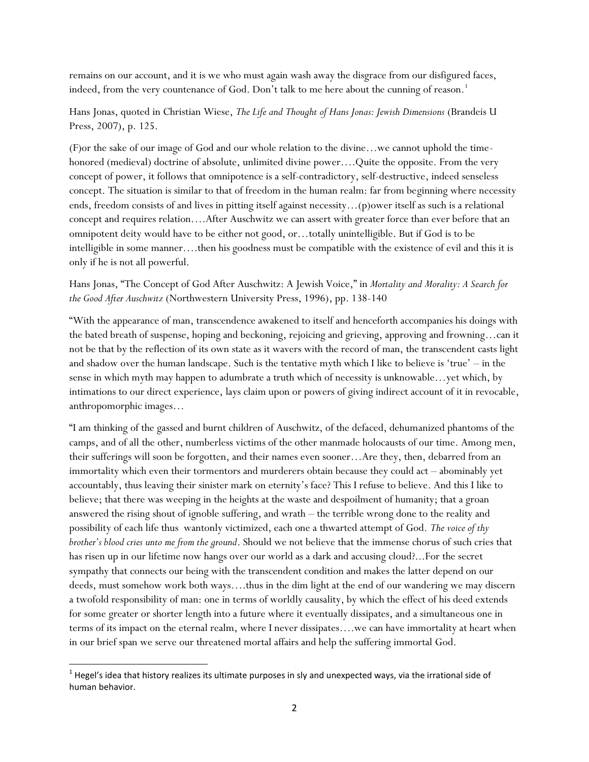remains on our account, and it is we who must again wash away the disgrace from our disfigured faces, indeed, from the very countenance of God. Don't talk to me here about the cunning of reason.<sup>1</sup>

## Hans Jonas, quoted in Christian Wiese, *The Life and Thought of Hans Jonas: Jewish Dimensions* (Brandeis U Press, 2007), p. 125.

(F)or the sake of our image of God and our whole relation to the divine…we cannot uphold the timehonored (medieval) doctrine of absolute, unlimited divine power....Quite the opposite. From the very concept of power, it follows that omnipotence is a self-contradictory, self-destructive, indeed senseless concept. The situation is similar to that of freedom in the human realm: far from beginning where necessity ends, freedom consists of and lives in pitting itself against necessity…(p)ower itself as such is a relational concept and requires relation….After Auschwitz we can assert with greater force than ever before that an omnipotent deity would have to be either not good, or…totally unintelligible. But if God is to be intelligible in some manner….then his goodness must be compatible with the existence of evil and this it is only if he is not all powerful.

## Hans Jonas, "The Concept of God After Auschwitz: A Jewish Voice," in *Mortality and Morality: A Search for the Good After Auschwitz* (Northwestern University Press, 1996), pp. 138-140

"With the appearance of man, transcendence awakened to itself and henceforth accompanies his doings with the bated breath of suspense, hoping and beckoning, rejoicing and grieving, approving and frowning…can it not be that by the reflection of its own state as it wavers with the record of man, the transcendent casts light and shadow over the human landscape. Such is the tentative myth which I like to believe is 'true' – in the sense in which myth may happen to adumbrate a truth which of necessity is unknowable…yet which, by intimations to our direct experience, lays claim upon or powers of giving indirect account of it in revocable, anthropomorphic images…

"I am thinking of the gassed and burnt children of Auschwitz, of the defaced, dehumanized phantoms of the camps, and of all the other, numberless victims of the other manmade holocausts of our time. Among men, their sufferings will soon be forgotten, and their names even sooner…Are they, then, debarred from an immortality which even their tormentors and murderers obtain because they could act – abominably yet accountably, thus leaving their sinister mark on eternity's face? This I refuse to believe. And this I like to believe; that there was weeping in the heights at the waste and despoilment of humanity; that a groan answered the rising shout of ignoble suffering, and wrath – the terrible wrong done to the reality and possibility of each life thus wantonly victimized, each one a thwarted attempt of God. *The voice of thy brother's blood cries unto me from the ground*. Should we not believe that the immense chorus of such cries that has risen up in our lifetime now hangs over our world as a dark and accusing cloud?...For the secret sympathy that connects our being with the transcendent condition and makes the latter depend on our deeds, must somehow work both ways….thus in the dim light at the end of our wandering we may discern a twofold responsibility of man: one in terms of worldly causality, by which the effect of his deed extends for some greater or shorter length into a future where it eventually dissipates, and a simultaneous one in terms of its impact on the eternal realm, where I never dissipates….we can have immortality at heart when in our brief span we serve our threatened mortal affairs and help the suffering immortal God.

l  $^1$  Hegel's idea that history realizes its ultimate purposes in sly and unexpected ways, via the irrational side of human behavior.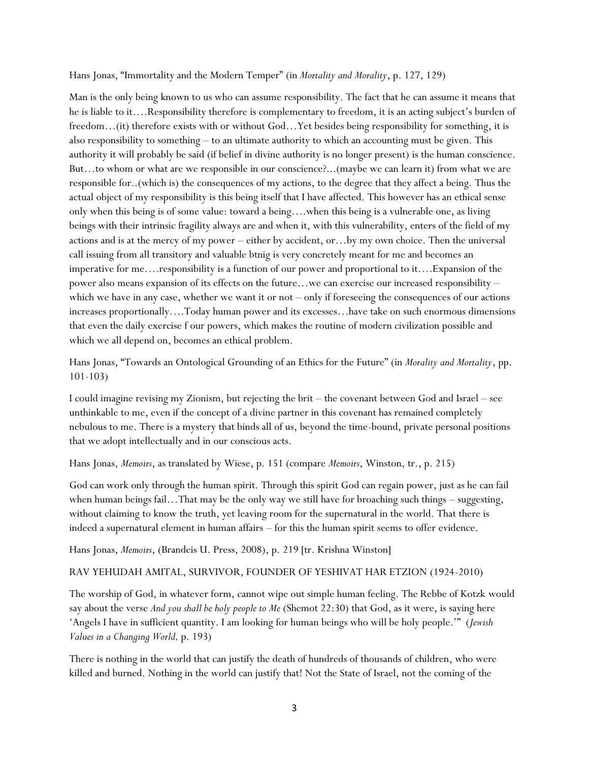Hans Jonas, "Immortality and the Modern Temper" (in *Mortality and Morality*, p. 127, 129)

Man is the only being known to us who can assume responsibility. The fact that he can assume it means that he is liable to it….Responsibility therefore is complementary to freedom, it is an acting subject's burden of freedom…(it) therefore exists with or without God…Yet besides being responsibility for something, it is also responsibility to something – to an ultimate authority to which an accounting must be given. This authority it will probably be said (if belief in divine authority is no longer present) is the human conscience. But…to whom or what are we responsible in our conscience?...(maybe we can learn it) from what we are responsible for..(which is) the consequences of my actions, to the degree that they affect a being. Thus the actual object of my responsibility is this being itself that I have affected. This however has an ethical sense only when this being is of some value: toward a being….when this being is a vulnerable one, as living beings with their intrinsic fragility always are and when it, with this vulnerability, enters of the field of my actions and is at the mercy of my power – either by accident, or…by my own choice. Then the universal call issuing from all transitory and valuable btnig is very concretely meant for me and becomes an imperative for me….responsibility is a function of our power and proportional to it….Expansion of the power also means expansion of its effects on the future…we can exercise our increased responsibility – which we have in any case, whether we want it or not – only if foreseeing the consequences of our actions increases proportionally….Today human power and its excesses…have take on such enormous dimensions that even the daily exercise f our powers, which makes the routine of modern civilization possible and which we all depend on, becomes an ethical problem.

Hans Jonas, "Towards an Ontological Grounding of an Ethics for the Future" (in *Morality and Mortality*, pp. 101-103)

I could imagine revising my Zionism, but rejecting the brit – the covenant between God and Israel – see unthinkable to me, even if the concept of a divine partner in this covenant has remained completely nebulous to me. There is a mystery that binds all of us, beyond the time-bound, private personal positions that we adopt intellectually and in our conscious acts.

Hans Jonas, *Memoirs*, as translated by Wiese, p. 151 (compare *Memoirs*, Winston, tr., p. 215)

God can work only through the human spirit. Through this spirit God can regain power, just as he can fail when human beings fail…That may be the only way we still have for broaching such things – suggesting, without claiming to know the truth, yet leaving room for the supernatural in the world. That there is indeed a supernatural element in human affairs – for this the human spirit seems to offer evidence.

Hans Jonas, *Memoirs*, (Brandeis U. Press, 2008), p. 219 [tr. Krishna Winston]

#### RAV YEHUDAH AMITAL, SURVIVOR, FOUNDER OF YESHIVAT HAR ETZION (1924-2010)

The worship of God, in whatever form, cannot wipe out simple human feeling. The Rebbe of Kotzk would say about the verse *And you shall be holy people to Me* (Shemot 22:30) that God, as it were, is saying here 'Angels I have in sufficient quantity. I am looking for human beings who will be holy people.'" (*Jewish Values in a Changing World,* p. 193)

There is nothing in the world that can justify the death of hundreds of thousands of children, who were killed and burned. Nothing in the world can justify that! Not the State of Israel, not the coming of the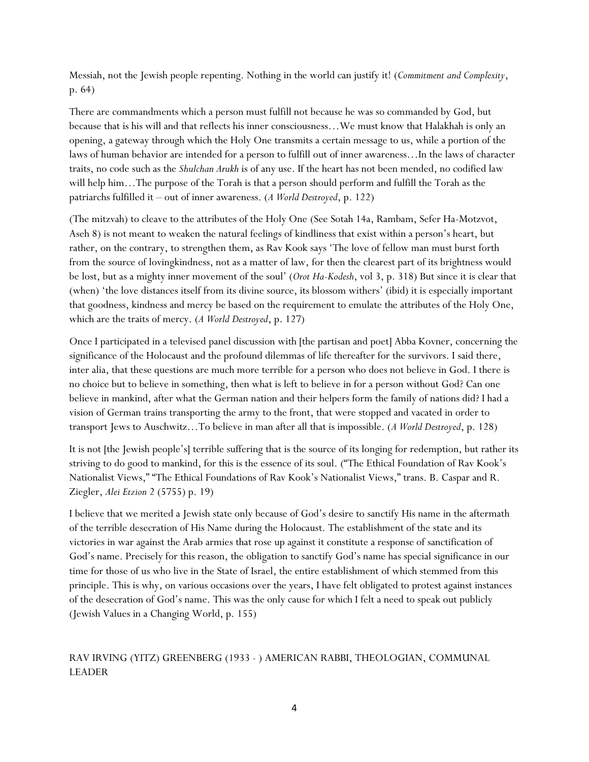Messiah, not the Jewish people repenting. Nothing in the world can justify it! (*Commitment and Complexity*, p. 64)

There are commandments which a person must fulfill not because he was so commanded by God, but because that is his will and that reflects his inner consciousness…We must know that Halakhah is only an opening, a gateway through which the Holy One transmits a certain message to us, while a portion of the laws of human behavior are intended for a person to fulfill out of inner awareness…In the laws of character traits, no code such as the *Shulchan Arukh* is of any use. If the heart has not been mended, no codified law will help him…The purpose of the Torah is that a person should perform and fulfill the Torah as the patriarchs fulfilled it – out of inner awareness. (*A World Destroyed*, p. 122)

(The mitzvah) to cleave to the attributes of the Holy One (See Sotah 14a, Rambam, Sefer Ha-Motzvot, Aseh 8) is not meant to weaken the natural feelings of kindliness that exist within a person's heart, but rather, on the contrary, to strengthen them, as Rav Kook says 'The love of fellow man must burst forth from the source of lovingkindness, not as a matter of law, for then the clearest part of its brightness would be lost, but as a mighty inner movement of the soul' (*Orot Ha-Kodesh*, vol 3, p. 318) But since it is clear that (when) 'the love distances itself from its divine source, its blossom withers' (ibid) it is especially important that goodness, kindness and mercy be based on the requirement to emulate the attributes of the Holy One, which are the traits of mercy. (*A World Destroyed*, p. 127)

Once I participated in a televised panel discussion with [the partisan and poet] Abba Kovner, concerning the significance of the Holocaust and the profound dilemmas of life thereafter for the survivors. I said there, inter alia, that these questions are much more terrible for a person who does not believe in God. I there is no choice but to believe in something, then what is left to believe in for a person without God? Can one believe in mankind, after what the German nation and their helpers form the family of nations did? I had a vision of German trains transporting the army to the front, that were stopped and vacated in order to transport Jews to Auschwitz…To believe in man after all that is impossible. (*A World Destroyed*, p. 128)

It is not [the Jewish people's] terrible suffering that is the source of its longing for redemption, but rather its striving to do good to mankind, for this is the essence of its soul. ("The Ethical Foundation of Rav Kook's Nationalist Views," "The Ethical Foundations of Rav Kook's Nationalist Views," trans. B. Caspar and R. Ziegler, *Alei Etzion* 2 (5755) p. 19)

I believe that we merited a Jewish state only because of God's desire to sanctify His name in the aftermath of the terrible desecration of His Name during the Holocaust. The establishment of the state and its victories in war against the Arab armies that rose up against it constitute a response of sanctification of God's name. Precisely for this reason, the obligation to sanctify God's name has special significance in our time for those of us who live in the State of Israel, the entire establishment of which stemmed from this principle. This is why, on various occasions over the years, I have felt obligated to protest against instances of the desecration of God's name. This was the only cause for which I felt a need to speak out publicly (Jewish Values in a Changing World, p. 155)

# RAV IRVING (YITZ) GREENBERG (1933 - ) AMERICAN RABBI, THEOLOGIAN, COMMUNAL LEADER